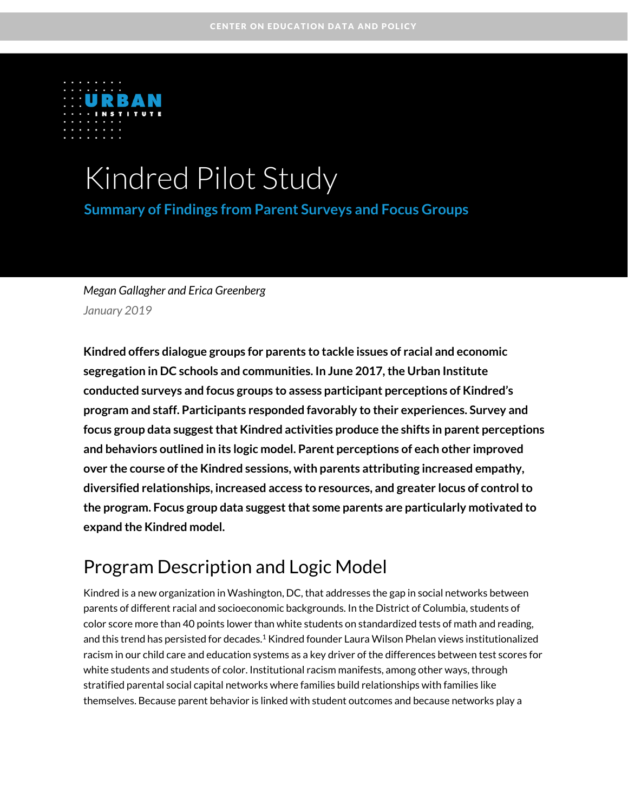

# Kindred Pilot Study

**Summary of Findings from Parent Surveys and Focus Groups**

# *Megan Gallagher and Erica Greenberg January 2019*

**Kindred offers dialogue groups for parents to tackle issues of racial and economic segregation in DC schools and communities. In June 2017, the Urban Institute conducted surveys and focus groups to assess participant perceptions of Kindred's program and staff. Participants responded favorably to their experiences. Survey and focus group data suggest that Kindred activities produce the shifts in parent perceptions and behaviors outlined in its logic model. Parent perceptions of each other improved over the course of the Kindred sessions, with parents attributing increased empathy, diversified relationships, increased access to resources, and greater locus of control to the program. Focus group data suggest that some parents are particularly motivated to expand the Kindred model.**

# Program Description and Logic Model

Kindred is a new organization in Washington, DC, that addresses the gap in social networks between parents of different racial and socioeconomic backgrounds. In the District of Columbia, students of color score more than 40 points lower than white students on standardized tests of math and reading, and this trend has persisted for decades.<sup>1</sup> Kindred founder Laura Wilson Phelan views institutionalized racism in our child care and education systems as a key driver of the differences between test scores for white students and students of color. Institutional racism manifests, among other ways, through stratified parental social capital networks where families build relationships with families like themselves. Because parent behavior is linked with student outcomes and because networks play a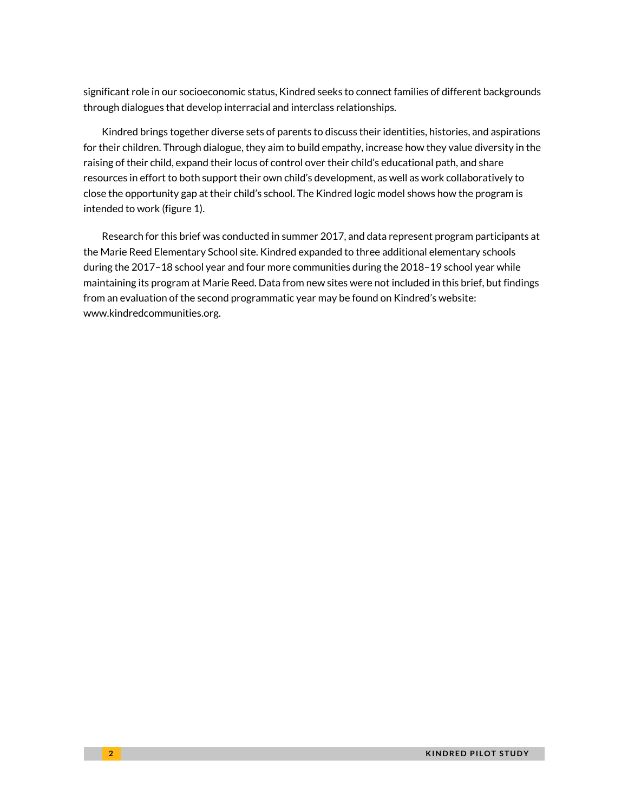significant role in our socioeconomic status, Kindred seeks to connect families of different backgrounds through dialogues that develop interracial and interclass relationships.

Kindred brings together diverse sets of parents to discuss their identities, histories, and aspirations for their children. Through dialogue, they aim to build empathy, increase how they value diversity in the raising of their child, expand their locus of control over their child's educational path, and share resources in effort to both support their own child's development, as well as work collaboratively to close the opportunity gap at their child's school. The Kindred logic model shows how the program is intended to work (figure 1).

Research for this brief was conducted in summer 2017, and data represent program participants at the Marie Reed Elementary School site. Kindred expanded to three additional elementary schools during the 2017–18 school year and four more communities during the 2018–19 school year while maintaining its program at Marie Reed. Data from new sites were not included in this brief, but findings from an evaluation of the second programmatic year may be found on Kindred's website: www.kindredcommunities.org.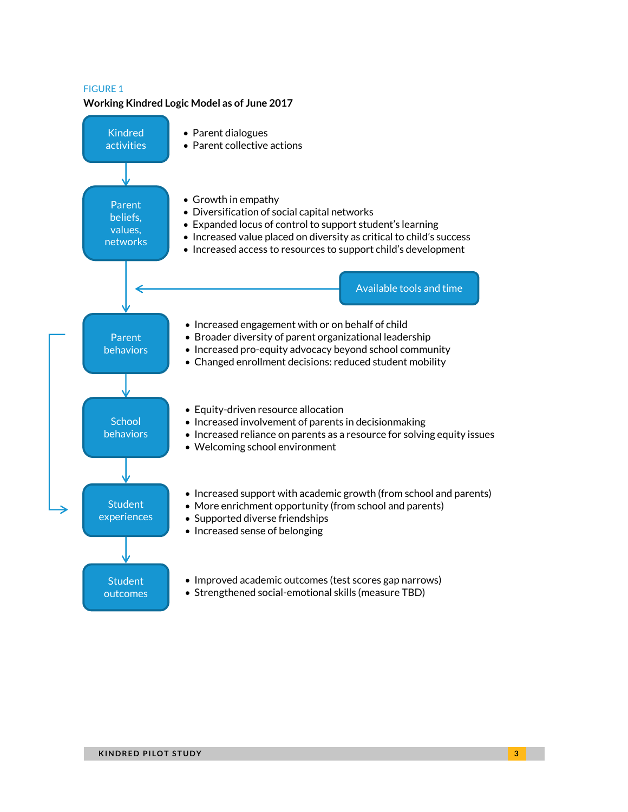#### FIGURE 1

#### **Working Kindred Logic Model as of June 2017**

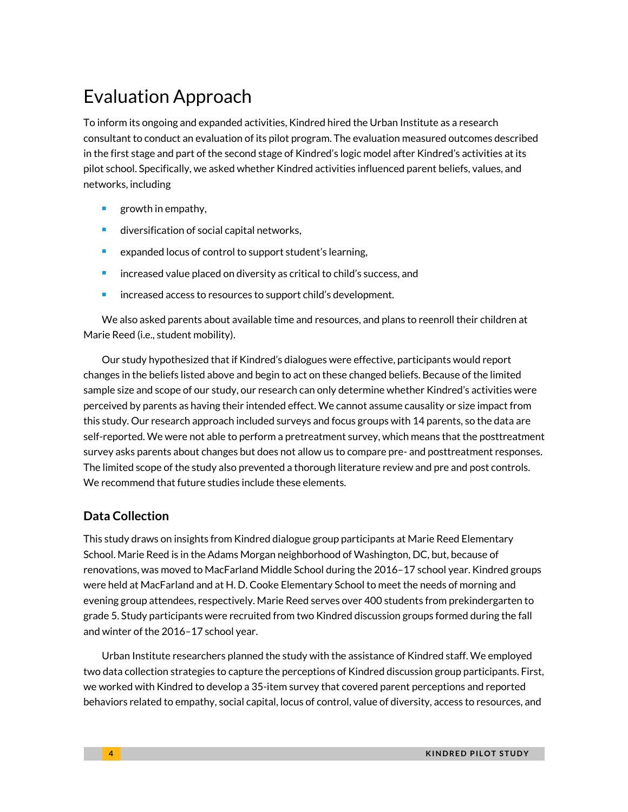# Evaluation Approach

To inform its ongoing and expanded activities, Kindred hired the Urban Institute as a research consultant to conduct an evaluation of its pilot program. The evaluation measured outcomes described in the first stage and part of the second stage of Kindred's logic model after Kindred's activities at its pilot school. Specifically, we asked whether Kindred activities influenced parent beliefs, values, and networks, including

- $\blacksquare$  growth in empathy,
- diversification of social capital networks,
- expanded locus of control to support student's learning,
- **If** increased value placed on diversity as critical to child's success, and
- **EXEC** increased access to resources to support child's development.

We also asked parents about available time and resources, and plans to reenroll their children at Marie Reed (i.e., student mobility).

Our study hypothesized that if Kindred's dialogues were effective, participants would report changes in the beliefs listed above and begin to act on these changed beliefs. Because of the limited sample size and scope of our study, our research can only determine whether Kindred's activities were perceived by parents as having their intended effect. We cannot assume causality or size impact from this study. Our research approach included surveys and focus groups with 14 parents, so the data are self-reported. We were not able to perform a pretreatment survey, which means that the posttreatment survey asks parents about changes but does not allow us to compare pre- and posttreatment responses. The limited scope of the study also prevented a thorough literature review and pre and post controls. We recommend that future studies include these elements.

### **Data Collection**

This study draws on insights from Kindred dialogue group participants at Marie Reed Elementary School. Marie Reed is in the Adams Morgan neighborhood of Washington, DC, but, because of renovations, was moved to MacFarland Middle School during the 2016–17 school year. Kindred groups were held at MacFarland and at H. D. Cooke Elementary School to meet the needs of morning and evening group attendees, respectively. Marie Reed serves over 400 students from prekindergarten to grade 5. Study participants were recruited from two Kindred discussion groups formed during the fall and winter of the 2016–17 school year.

Urban Institute researchers planned the study with the assistance of Kindred staff. We employed two data collection strategies to capture the perceptions of Kindred discussion group participants. First, we worked with Kindred to develop a 35-item survey that covered parent perceptions and reported behaviors related to empathy, social capital, locus of control, value of diversity, access to resources, and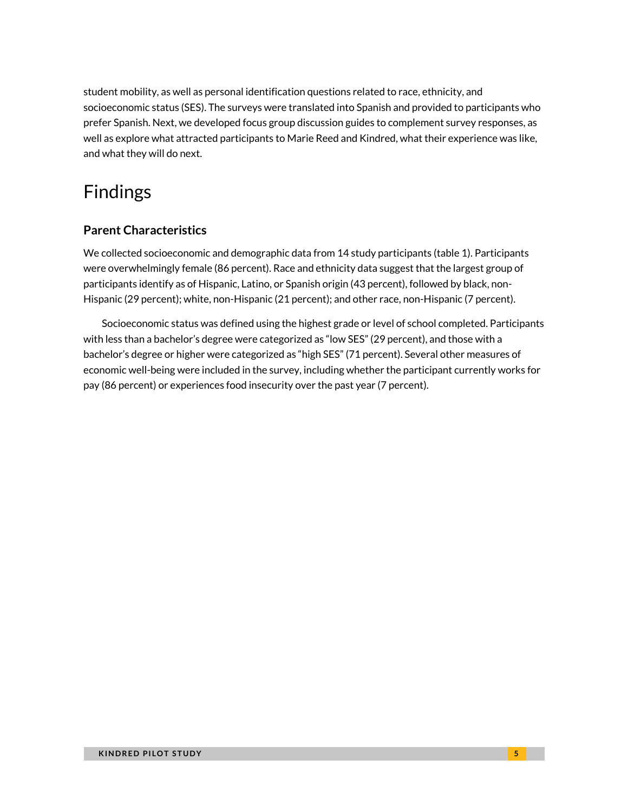student mobility, as well as personal identification questions related to race, ethnicity, and socioeconomic status (SES). The surveys were translated into Spanish and provided to participants who prefer Spanish. Next, we developed focus group discussion guides to complement survey responses, as well as explore what attracted participants to Marie Reed and Kindred, what their experience was like, and what they will do next.

# Findings

## **Parent Characteristics**

We collected socioeconomic and demographic data from 14 study participants (table 1). Participants were overwhelmingly female (86 percent). Race and ethnicity data suggest that the largest group of participants identify as of Hispanic, Latino, or Spanish origin (43 percent), followed by black, non-Hispanic (29 percent); white, non-Hispanic (21 percent); and other race, non-Hispanic (7 percent).

Socioeconomic status was defined using the highest grade or level of school completed. Participants with less than a bachelor's degree were categorized as "low SES" (29 percent), and those with a bachelor's degree or higher were categorized as "high SES" (71 percent). Several other measures of economic well-being were included in the survey, including whether the participant currently works for pay (86 percent) or experiences food insecurity over the past year (7 percent).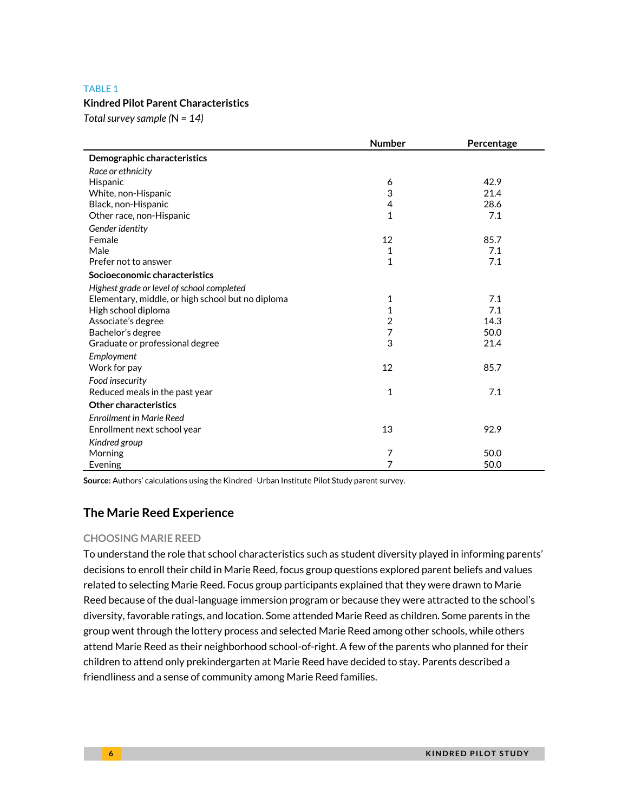#### TABLE 1

#### **Kindred Pilot Parent Characteristics**

*Total survey sample (*N *= 14)*

|                                                   | <b>Number</b>  | Percentage |
|---------------------------------------------------|----------------|------------|
| Demographic characteristics                       |                |            |
| Race or ethnicity                                 |                |            |
| Hispanic                                          | 6              | 42.9       |
| White, non-Hispanic                               | 3              | 21.4       |
| Black, non-Hispanic                               | $\overline{4}$ | 28.6       |
| Other race, non-Hispanic                          | 1              | 7.1        |
| Gender identity                                   |                |            |
| Female                                            | 12             | 85.7       |
| Male                                              | 1              | 7.1        |
| Prefer not to answer                              | $\mathbf{1}$   | 7.1        |
| Socioeconomic characteristics                     |                |            |
| Highest grade or level of school completed        |                |            |
| Elementary, middle, or high school but no diploma | 1              | 7.1        |
| High school diploma                               | $\mathbf{1}$   | 7.1        |
| Associate's degree                                | $\overline{2}$ | 14.3       |
| Bachelor's degree                                 | 7              | 50.0       |
| Graduate or professional degree                   | 3              | 21.4       |
| Employment                                        |                |            |
| Work for pay                                      | 12             | 85.7       |
| Food insecurity                                   |                |            |
| Reduced meals in the past year                    | $\mathbf{1}$   | 7.1        |
| <b>Other characteristics</b>                      |                |            |
| <b>Enrollment in Marie Reed</b>                   |                |            |
| Enrollment next school year                       | 13             | 92.9       |
| Kindred group                                     |                |            |
| Morning                                           | 7              | 50.0       |
| Evening                                           | 7              | 50.0       |

**Source:** Authors' calculations using the Kindred–Urban Institute Pilot Study parent survey.

### **The Marie Reed Experience**

#### **CHOOSING MARIE REED**

To understand the role that school characteristics such as student diversity played in informing parents' decisions to enroll their child in Marie Reed, focus group questions explored parent beliefs and values related to selecting Marie Reed. Focus group participants explained that they were drawn to Marie Reed because of the dual-language immersion program or because they were attracted to the school's diversity, favorable ratings, and location. Some attended Marie Reed as children. Some parents in the group went through the lottery process and selected Marie Reed among other schools, while others attend Marie Reed as their neighborhood school-of-right. A few of the parents who planned for their children to attend only prekindergarten at Marie Reed have decided to stay. Parents described a friendliness and a sense of community among Marie Reed families.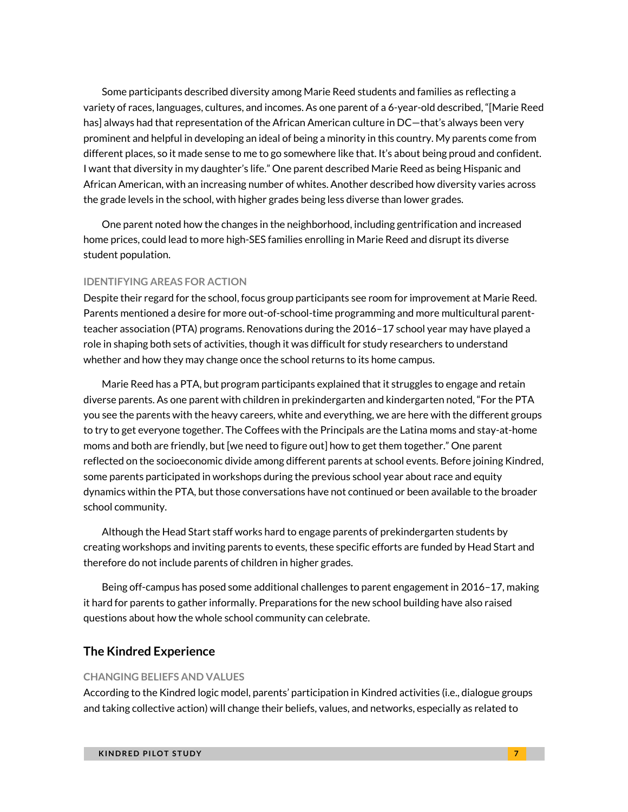Some participants described diversity among Marie Reed students and families as reflecting a variety of races, languages, cultures, and incomes. As one parent of a 6-year-old described, "[Marie Reed has] always had that representation of the African American culture in DC—that's always been very prominent and helpful in developing an ideal of being a minority in this country. My parents come from different places, so it made sense to me to go somewhere like that. It's about being proud and confident. I want that diversity in my daughter's life." One parent described Marie Reed as being Hispanic and African American, with an increasing number of whites. Another described how diversity varies across the grade levels in the school, with higher grades being less diverse than lower grades.

One parent noted how the changes in the neighborhood, including gentrification and increased home prices, could lead to more high-SES families enrolling in Marie Reed and disrupt its diverse student population.

#### **IDENTIFYING AREAS FOR ACTION**

Despite their regard for the school, focus group participants see room for improvement at Marie Reed. Parents mentioned a desire for more out-of-school-time programming and more multicultural parentteacher association (PTA) programs. Renovations during the 2016–17 school year may have played a role in shaping both sets of activities, though it was difficult for study researchers to understand whether and how they may change once the school returns to its home campus.

Marie Reed has a PTA, but program participants explained that it struggles to engage and retain diverse parents. As one parent with children in prekindergarten and kindergarten noted, "For the PTA you see the parents with the heavy careers, white and everything, we are here with the different groups to try to get everyone together. The Coffees with the Principals are the Latina moms and stay-at-home moms and both are friendly, but [we need to figure out] how to get them together." One parent reflected on the socioeconomic divide among different parents at school events. Before joining Kindred, some parents participated in workshops during the previous school year about race and equity dynamics within the PTA, but those conversations have not continued or been available to the broader school community.

Although the Head Start staff works hard to engage parents of prekindergarten students by creating workshops and inviting parents to events, these specific efforts are funded by Head Start and therefore do not include parents of children in higher grades.

Being off-campus has posed some additional challenges to parent engagement in 2016–17, making it hard for parents to gather informally. Preparations for the new school building have also raised questions about how the whole school community can celebrate.

#### **The Kindred Experience**

#### **CHANGING BELIEFS AND VALUES**

According to the Kindred logic model, parents' participation in Kindred activities (i.e., dialogue groups and taking collective action) will change their beliefs, values, and networks, especially as related to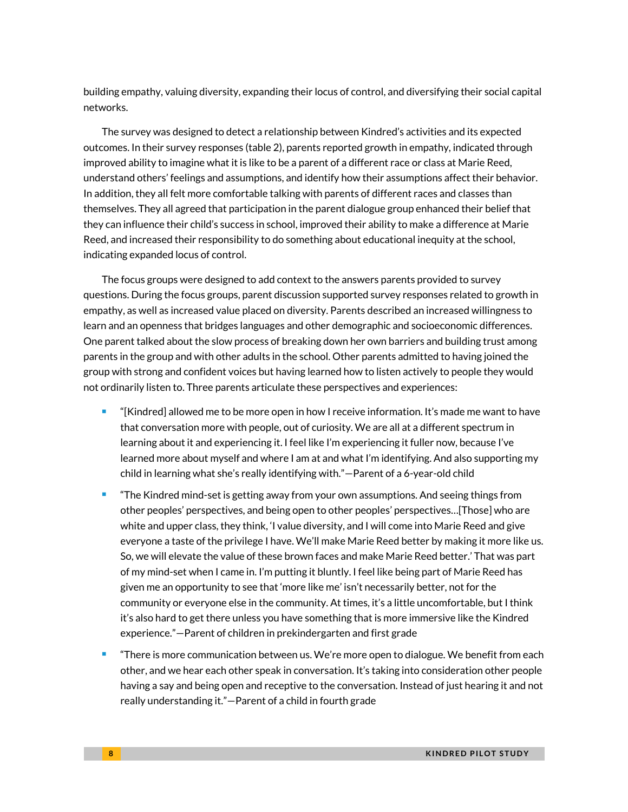building empathy, valuing diversity, expanding their locus of control, and diversifying their social capital networks.

The survey was designed to detect a relationship between Kindred's activities and its expected outcomes. In their survey responses (table 2), parents reported growth in empathy, indicated through improved ability to imagine what it is like to be a parent of a different race or class at Marie Reed, understand others' feelings and assumptions, and identify how their assumptions affect their behavior. In addition, they all felt more comfortable talking with parents of different races and classes than themselves. They all agreed that participation in the parent dialogue group enhanced their belief that they can influence their child's success in school, improved their ability to make a difference at Marie Reed, and increased their responsibility to do something about educational inequity at the school, indicating expanded locus of control.

The focus groups were designed to add context to the answers parents provided to survey questions. During the focus groups, parent discussion supported survey responses related to growth in empathy, as well as increased value placed on diversity. Parents described an increased willingness to learn and an openness that bridges languages and other demographic and socioeconomic differences. One parent talked about the slow process of breaking down her own barriers and building trust among parents in the group and with other adults in the school. Other parents admitted to having joined the group with strong and confident voices but having learned how to listen actively to people they would not ordinarily listen to. Three parents articulate these perspectives and experiences:

- "[Kindred] allowed me to be more open in how I receive information. It's made me want to have that conversation more with people, out of curiosity. We are all at a different spectrum in learning about it and experiencing it. I feel like I'm experiencing it fuller now, because I've learned more about myself and where I am at and what I'm identifying. And also supporting my child in learning what she's really identifying with."—Parent of a 6-year-old child
- "The Kindred mind-set is getting away from your own assumptions. And seeing things from other peoples' perspectives, and being open to other peoples' perspectives…[Those] who are white and upper class, they think, 'I value diversity, and I will come into Marie Reed and give everyone a taste of the privilege I have. We'll make Marie Reed better by making it more like us. So, we will elevate the value of these brown faces and make Marie Reed better.' That was part of my mind-set when I came in. I'm putting it bluntly. I feel like being part of Marie Reed has given me an opportunity to see that 'more like me' isn't necessarily better, not for the community or everyone else in the community. At times, it's a little uncomfortable, but I think it's also hard to get there unless you have something that is more immersive like the Kindred experience."—Parent of children in prekindergarten and first grade
- "There is more communication between us. We're more open to dialogue. We benefit from each other, and we hear each other speak in conversation. It's taking into consideration other people having a say and being open and receptive to the conversation. Instead of just hearing it and not really understanding it."—Parent of a child in fourth grade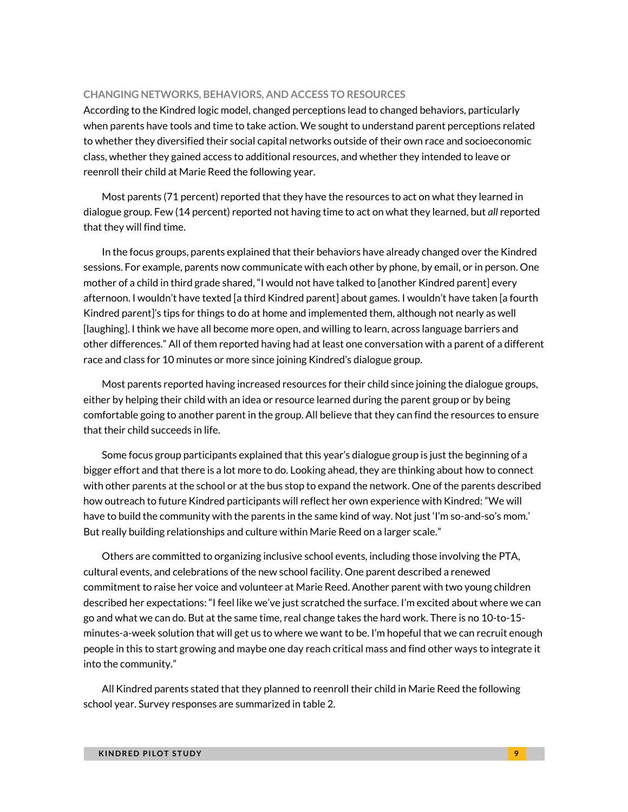#### **CHANGING NETWORKS, BEHAVIORS, AND ACCESS TO RESOURCES**

According to the Kindred logic model, changed perceptions lead to changed behaviors, particularly when parents have tools and time to take action. We sought to understand parent perceptions related to whether they diversified their social capital networks outside of their own race and socioeconomic class, whether they gained access to additional resources, and whether they intended to leave or reenroll their child at Marie Reed the following year.

Most parents (71 percent) reported that they have the resources to act on what they learned in dialogue group. Few (14 percent) reported not having time to act on what they learned, but *all* reported that they will find time.

In the focus groups, parents explained that their behaviors have already changed over the Kindred sessions. For example, parents now communicate with each other by phone, by email, or in person. One mother of a child in third grade shared, "I would not have talked to [another Kindred parent] every afternoon. I wouldn't have texted [a third Kindred parent] about games. I wouldn't have taken [a fourth Kindred parent]'s tips for things to do at home and implemented them, although not nearly as well [laughing]. I think we have all become more open, and willing to learn, across language barriers and other differences." All of them reported having had at least one conversation with a parent of a different race and class for 10 minutes or more since joining Kindred's dialogue group.

Most parents reported having increased resources for their child since joining the dialogue groups, either by helping their child with an idea or resource learned during the parent group or by being comfortable going to another parent in the group. All believe that they can find the resources to ensure that their child succeeds in life.

Some focus group participants explained that this year's dialogue group is just the beginning of a bigger effort and that there is a lot more to do. Looking ahead, they are thinking about how to connect with other parents at the school or at the bus stop to expand the network. One of the parents described how outreach to future Kindred participants will reflect her own experience with Kindred: "We will have to build the community with the parents in the same kind of way. Not just 'I'm so-and-so's mom.' But really building relationships and culture within Marie Reed on a larger scale."

Others are committed to organizing inclusive school events, including those involving the PTA, cultural events, and celebrations of the new school facility. One parent described a renewed commitment to raise her voice and volunteer at Marie Reed. Another parent with two young children described her expectations: "I feel like we've just scratched the surface. I'm excited about where we can go and what we can do. But at the same time, real change takes the hard work. There is no 10-to-15 minutes-a-week solution that will get us to where we want to be. I'm hopeful that we can recruit enough people in this to start growing and maybe one day reach critical mass and find other ways to integrate it into the community."

All Kindred parents stated that they planned to reenroll their child in Marie Reed the following school year. Survey responses are summarized in table 2.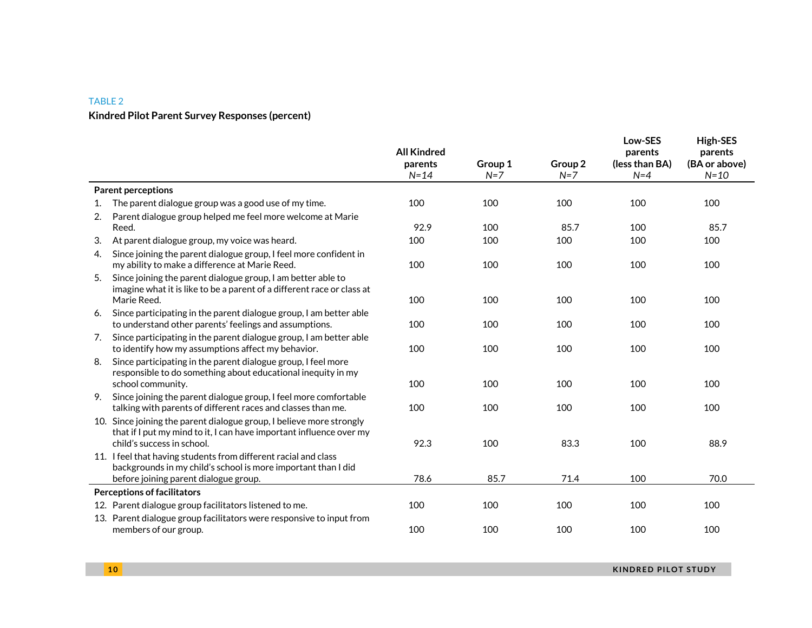### TABLE 2 **Kindred Pilot Parent Survey Responses (percent)**

|    |                                                                                                                                                                           | <b>All Kindred</b><br>parents<br>$N = 14$ | Group 1<br>$N=7$ | Group 2<br>$N=7$ | Low-SES<br>parents<br>(less than BA)<br>$N=4$ | <b>High-SES</b><br>parents<br>(BA or above)<br>$N=10$ |
|----|---------------------------------------------------------------------------------------------------------------------------------------------------------------------------|-------------------------------------------|------------------|------------------|-----------------------------------------------|-------------------------------------------------------|
|    | <b>Parent perceptions</b>                                                                                                                                                 |                                           |                  |                  |                                               |                                                       |
| 1. | The parent dialogue group was a good use of my time.                                                                                                                      | 100                                       | 100              | 100              | 100                                           | 100                                                   |
| 2. | Parent dialogue group helped me feel more welcome at Marie<br>Reed.                                                                                                       | 92.9                                      | 100              | 85.7             | 100                                           | 85.7                                                  |
| 3. | At parent dialogue group, my voice was heard.                                                                                                                             | 100                                       | 100              | 100              | 100                                           | 100                                                   |
| 4. | Since joining the parent dialogue group, I feel more confident in<br>my ability to make a difference at Marie Reed.                                                       | 100                                       | 100              | 100              | 100                                           | 100                                                   |
| 5. | Since joining the parent dialogue group, I am better able to<br>imagine what it is like to be a parent of a different race or class at<br>Marie Reed.                     | 100                                       | 100              | 100              | 100                                           | 100                                                   |
| 6. | Since participating in the parent dialogue group, I am better able<br>to understand other parents' feelings and assumptions.                                              | 100                                       | 100              | 100              | 100                                           | 100                                                   |
| 7. | Since participating in the parent dialogue group, I am better able<br>to identify how my assumptions affect my behavior.                                                  | 100                                       | 100              | 100              | 100                                           | 100                                                   |
| 8. | Since participating in the parent dialogue group, I feel more<br>responsible to do something about educational inequity in my<br>school community.                        | 100                                       | 100              | 100              | 100                                           | 100                                                   |
| 9. | Since joining the parent dialogue group, I feel more comfortable<br>talking with parents of different races and classes than me.                                          | 100                                       | 100              | 100              | 100                                           | 100                                                   |
|    | 10. Since joining the parent dialogue group, I believe more strongly<br>that if I put my mind to it, I can have important influence over my<br>child's success in school. | 92.3                                      | 100              | 83.3             | 100                                           | 88.9                                                  |
|    | 11. I feel that having students from different racial and class<br>backgrounds in my child's school is more important than I did                                          |                                           |                  |                  |                                               |                                                       |
|    | before joining parent dialogue group.                                                                                                                                     | 78.6                                      | 85.7             | 71.4             | 100                                           | 70.0                                                  |
|    | <b>Perceptions of facilitators</b>                                                                                                                                        |                                           |                  |                  |                                               |                                                       |
|    | 12. Parent dialogue group facilitators listened to me.                                                                                                                    | 100                                       | 100              | 100              | 100                                           | 100                                                   |
|    | 13. Parent dialogue group facilitators were responsive to input from<br>members of our group.                                                                             | 100                                       | 100              | 100              | 100                                           | 100                                                   |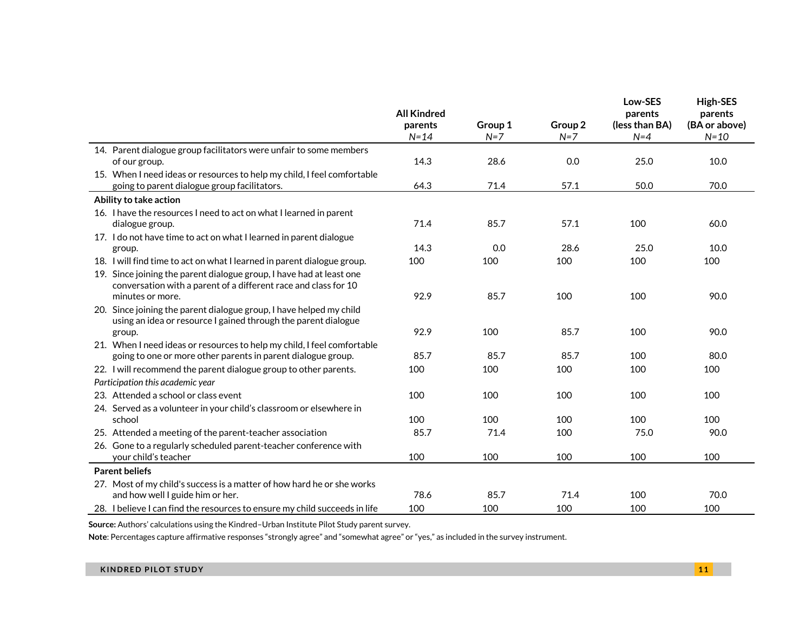|                                                                                                                                         |                     |                  |                  | Low-SES                 | <b>High-SES</b>           |  |
|-----------------------------------------------------------------------------------------------------------------------------------------|---------------------|------------------|------------------|-------------------------|---------------------------|--|
|                                                                                                                                         | <b>All Kindred</b>  |                  |                  | parents                 | parents                   |  |
|                                                                                                                                         | parents<br>$N = 14$ | Group 1<br>$N=7$ | Group 2<br>$N=7$ | (less than BA)<br>$N=4$ | (BA or above)<br>$N = 10$ |  |
| 14. Parent dialogue group facilitators were unfair to some members                                                                      |                     |                  |                  |                         |                           |  |
| of our group.                                                                                                                           | 14.3                | 28.6             | 0.0              | 25.0                    | 10.0                      |  |
| 15. When I need ideas or resources to help my child, I feel comfortable                                                                 |                     |                  |                  |                         |                           |  |
| going to parent dialogue group facilitators.                                                                                            | 64.3                | 71.4             | 57.1             | 50.0                    | 70.0                      |  |
| Ability to take action                                                                                                                  |                     |                  |                  |                         |                           |  |
| 16. I have the resources I need to act on what I learned in parent                                                                      |                     |                  |                  |                         |                           |  |
| dialogue group.                                                                                                                         | 71.4                | 85.7             | 57.1             | 100                     | 60.0                      |  |
| 17. I do not have time to act on what I learned in parent dialogue                                                                      |                     |                  |                  |                         |                           |  |
| group.                                                                                                                                  | 14.3                | 0.0              | 28.6             | 25.0                    | 10.0                      |  |
| 18. I will find time to act on what I learned in parent dialogue group.                                                                 | 100                 | 100              | 100              | 100                     | 100                       |  |
| 19. Since joining the parent dialogue group, I have had at least one<br>conversation with a parent of a different race and class for 10 |                     |                  |                  |                         |                           |  |
| minutes or more.                                                                                                                        | 92.9                | 85.7             | 100              | 100                     | 90.0                      |  |
| 20. Since joining the parent dialogue group, I have helped my child                                                                     |                     |                  |                  |                         |                           |  |
| using an idea or resource I gained through the parent dialogue                                                                          |                     |                  |                  |                         |                           |  |
| group.                                                                                                                                  | 92.9                | 100              | 85.7             | 100                     | 90.0                      |  |
| 21. When I need ideas or resources to help my child, I feel comfortable                                                                 |                     |                  |                  |                         |                           |  |
| going to one or more other parents in parent dialogue group.                                                                            | 85.7                | 85.7             | 85.7             | 100                     | 80.0                      |  |
| 22. I will recommend the parent dialogue group to other parents.                                                                        | 100                 | 100              | 100              | 100                     | 100                       |  |
| Participation this academic year                                                                                                        |                     |                  |                  |                         |                           |  |
| 23. Attended a school or class event                                                                                                    | 100                 | 100              | 100              | 100                     | 100                       |  |
| 24. Served as a volunteer in your child's classroom or elsewhere in                                                                     |                     |                  |                  |                         |                           |  |
| school                                                                                                                                  | 100                 | 100              | 100              | 100                     | 100                       |  |
| 25. Attended a meeting of the parent-teacher association                                                                                | 85.7                | 71.4             | 100              | 75.0                    | 90.0                      |  |
| 26. Gone to a regularly scheduled parent-teacher conference with<br>your child's teacher                                                | 100                 | 100              | 100              | 100                     | 100                       |  |
| <b>Parent beliefs</b>                                                                                                                   |                     |                  |                  |                         |                           |  |
|                                                                                                                                         |                     |                  |                  |                         |                           |  |
| 27. Most of my child's success is a matter of how hard he or she works<br>and how well I guide him or her.                              | 78.6                | 85.7             | 71.4             | 100                     | 70.0                      |  |
| 28. I believe I can find the resources to ensure my child succeeds in life                                                              | 100                 | 100              | 100              | 100                     | 100                       |  |

**Source:** Authors' calculations using the Kindred–Urban Institute Pilot Study parent survey.

**Note**: Percentages capture affirmative responses "strongly agree" and "somewhat agree" or "yes," as included in the survey instrument.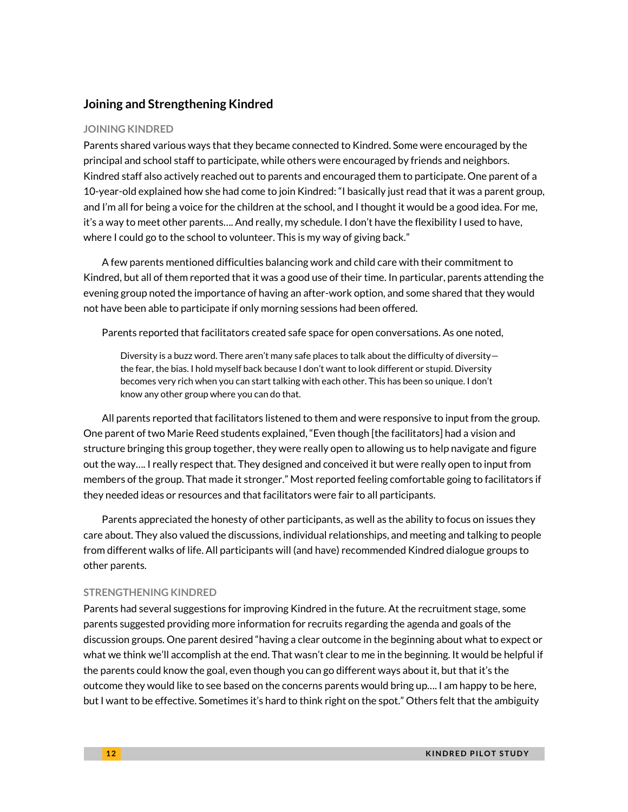### **Joining and Strengthening Kindred**

#### **JOINING KINDRED**

Parents shared various ways that they became connected to Kindred. Some were encouraged by the principal and school staff to participate, while others were encouraged by friends and neighbors. Kindred staff also actively reached out to parents and encouraged them to participate. One parent of a 10-year-old explained how she had come to join Kindred: "I basically just read that it was a parent group, and I'm all for being a voice for the children at the school, and I thought it would be a good idea. For me, it's a way to meet other parents…. And really, my schedule. I don't have the flexibility I used to have, where I could go to the school to volunteer. This is my way of giving back."

A few parents mentioned difficulties balancing work and child care with their commitment to Kindred, but all of them reported that it was a good use of their time. In particular, parents attending the evening group noted the importance of having an after-work option, and some shared that they would not have been able to participate if only morning sessions had been offered.

Parents reported that facilitators created safe space for open conversations. As one noted,

Diversity is a buzz word. There aren't many safe places to talk about the difficulty of diversity the fear, the bias. I hold myself back because I don't want to look different or stupid. Diversity becomes very rich when you can start talking with each other. This has been so unique. I don't know any other group where you can do that.

All parents reported that facilitators listened to them and were responsive to input from the group. One parent of two Marie Reed students explained, "Even though [the facilitators] had a vision and structure bringing this group together, they were really open to allowing us to help navigate and figure out the way…. I really respect that. They designed and conceived it but were really open to input from members of the group. That made it stronger." Most reported feeling comfortable going to facilitators if they needed ideas or resources and that facilitators were fair to all participants.

Parents appreciated the honesty of other participants, as well as the ability to focus on issues they care about. They also valued the discussions, individual relationships, and meeting and talking to people from different walks of life. All participants will (and have) recommended Kindred dialogue groups to other parents.

#### **STRENGTHENING KINDRED**

Parents had several suggestions for improving Kindred in the future. At the recruitment stage, some parents suggested providing more information for recruits regarding the agenda and goals of the discussion groups. One parent desired "having a clear outcome in the beginning about what to expect or what we think we'll accomplish at the end. That wasn't clear to me in the beginning. It would be helpful if the parents could know the goal, even though you can go different ways about it, but that it's the outcome they would like to see based on the concerns parents would bring up…. I am happy to be here, but I want to be effective. Sometimes it's hard to think right on the spot." Others felt that the ambiguity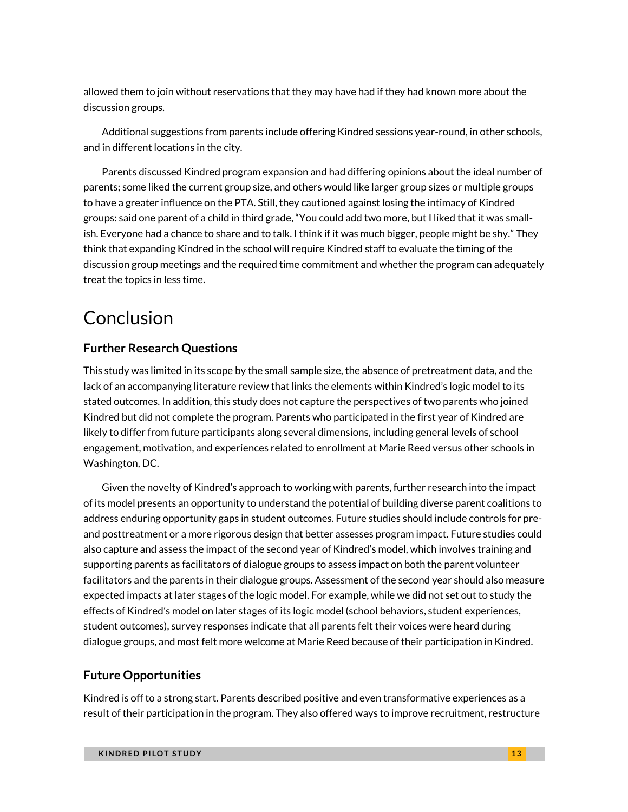allowed them to join without reservations that they may have had if they had known more about the discussion groups.

Additional suggestions from parents include offering Kindred sessions year-round, in other schools, and in different locations in the city.

Parents discussed Kindred program expansion and had differing opinions about the ideal number of parents; some liked the current group size, and others would like larger group sizes or multiple groups to have a greater influence on the PTA. Still, they cautioned against losing the intimacy of Kindred groups: said one parent of a child in third grade, "You could add two more, but I liked that it was smallish. Everyone had a chance to share and to talk. I think if it was much bigger, people might be shy." They think that expanding Kindred in the school will require Kindred staff to evaluate the timing of the discussion group meetings and the required time commitment and whether the program can adequately treat the topics in less time.

# Conclusion

### **Further Research Questions**

This study was limited in its scope by the small sample size, the absence of pretreatment data, and the lack of an accompanying literature review that links the elements within Kindred's logic model to its stated outcomes. In addition, this study does not capture the perspectives of two parents who joined Kindred but did not complete the program. Parents who participated in the first year of Kindred are likely to differ from future participants along several dimensions, including general levels of school engagement, motivation, and experiences related to enrollment at Marie Reed versus other schools in Washington, DC.

Given the novelty of Kindred's approach to working with parents, further research into the impact of its model presents an opportunity to understand the potential of building diverse parent coalitions to address enduring opportunity gaps in student outcomes. Future studies should include controls for preand posttreatment or a more rigorous design that better assesses program impact. Future studies could also capture and assess the impact of the second year of Kindred's model, which involves training and supporting parents as facilitators of dialogue groups to assess impact on both the parent volunteer facilitators and the parents in their dialogue groups. Assessment of the second year should also measure expected impacts at later stages of the logic model. For example, while we did not set out to study the effects of Kindred's model on later stages of its logic model (school behaviors, student experiences, student outcomes), survey responses indicate that all parents felt their voices were heard during dialogue groups, and most felt more welcome at Marie Reed because of their participation in Kindred.

### **Future Opportunities**

Kindred is off to a strong start. Parents described positive and even transformative experiences as a result of their participation in the program. They also offered ways to improve recruitment, restructure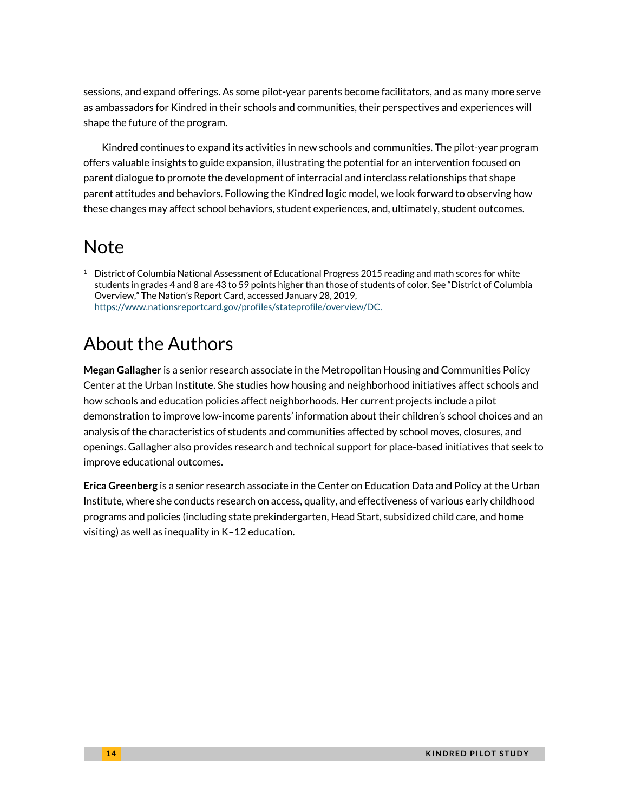sessions, and expand offerings. As some pilot-year parents become facilitators, and as many more serve as ambassadors for Kindred in their schools and communities, their perspectives and experiences will shape the future of the program.

Kindred continues to expand its activities in new schools and communities. The pilot-year program offers valuable insights to guide expansion, illustrating the potential for an intervention focused on parent dialogue to promote the development of interracial and interclass relationships that shape parent attitudes and behaviors. Following the Kindred logic model, we look forward to observing how these changes may affect school behaviors, student experiences, and, ultimately, student outcomes.

# Note

 $1$  District of Columbia National Assessment of Educational Progress 2015 reading and math scores for white students in grades 4 and 8 are 43 to 59 points higher than those of students of color. See "District of Columbia Overview," The Nation's Report Card, accessed January 28, 2019, [https://www.nationsreportcard.gov/profiles/stateprofile/overview/DC.](https://www.nationsreportcard.gov/profiles/stateprofile/overview/DC)

# About the Authors

**Megan Gallagher** is a senior research associate in the Metropolitan Housing and Communities Policy Center at the Urban Institute. She studies how housing and neighborhood initiatives affect schools and how schools and education policies affect neighborhoods. Her current projects include a pilot demonstration to improve low-income parents' information about their children's school choices and an analysis of the characteristics of students and communities affected by school moves, closures, and openings. Gallagher also provides research and technical support for place-based initiatives that seek to improve educational outcomes.

**Erica Greenberg** is a senior research associate in the Center on Education Data and Policy at the Urban Institute, where she conducts research on access, quality, and effectiveness of various early childhood programs and policies (including state prekindergarten, Head Start, subsidized child care, and home visiting) as well as inequality in K–12 education.